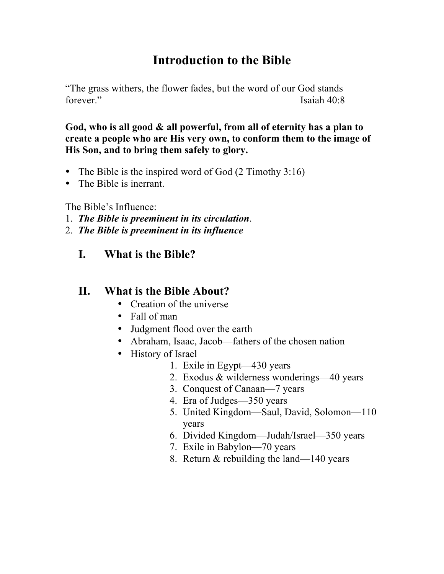# **Introduction to the Bible**

"The grass withers, the flower fades, but the word of our God stands forever." Isaiah 40:8

**God, who is all good & all powerful, from all of eternity has a plan to create a people who are His very own, to conform them to the image of His Son, and to bring them safely to glory.** 

- The Bible is the inspired word of God (2 Timothy 3:16)
- The Bible is inerrant.

The Bible's Influence:

- 1. *The Bible is preeminent in its circulation*.
- 2. *The Bible is preeminent in its influence*
	- **I. What is the Bible?**

### **II. What is the Bible About?**

- Creation of the universe
- Fall of man
- Judgment flood over the earth
- Abraham, Isaac, Jacob—fathers of the chosen nation
- History of Israel
	- 1. Exile in Egypt—430 years
	- 2. Exodus & wilderness wonderings—40 years
	- 3. Conquest of Canaan—7 years
	- 4. Era of Judges—350 years
	- 5. United Kingdom—Saul, David, Solomon—110 years
	- 6. Divided Kingdom—Judah/Israel—350 years
	- 7. Exile in Babylon—70 years
	- 8. Return & rebuilding the land—140 years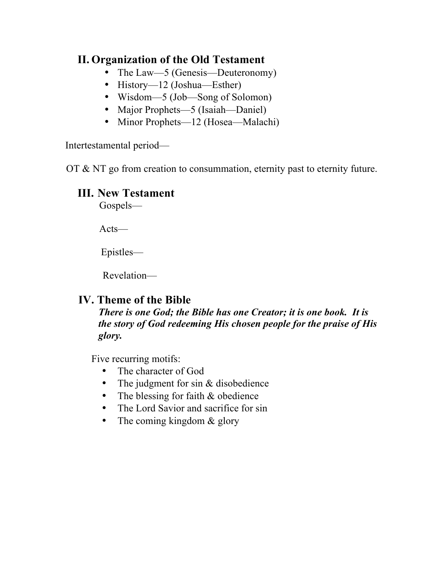### **II. Organization of the Old Testament**

- The Law—5 (Genesis—Deuteronomy)
- History—12 (Joshua—Esther)
- Wisdom—5 (Job—Song of Solomon)
- Major Prophets—5 (Isaiah—Daniel)
- Minor Prophets—12 (Hosea—Malachi)

#### Intertestamental period—

OT & NT go from creation to consummation, eternity past to eternity future.

### **III. New Testament**

Gospels—

Acts—

Epistles—

Revelation—

### **IV. Theme of the Bible**

*There is one God; the Bible has one Creator; it is one book. It is the story of God redeeming His chosen people for the praise of His glory.*

Five recurring motifs:

- The character of God
- The judgment for sin & disobedience
- The blessing for faith & obedience
- The Lord Savior and sacrifice for sin
- The coming kingdom & glory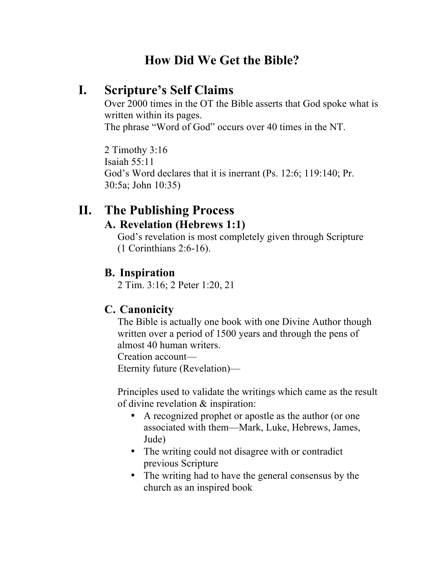# **How Did We Get the Bible?**

## **I. Scripture's Self Claims**

Over 2000 times in the OT the Bible asserts that God spoke what is written within its pages.

The phrase "Word of God" occurs over 40 times in the NT.

2 Timothy 3:16 Isaiah 55:11 God's Word declares that it is inerrant (Ps. 12:6; 119:140; Pr. 30:5a; John 10:35)

## **II. The Publishing Process A. Revelation (Hebrews 1:1)**

God's revelation is most completely given through Scripture (1 Corinthians 2:6-16).

## **B. Inspiration**

2 Tim. 3:16; 2 Peter 1:20, 21

## **C. Canonicity**

The Bible is actually one book with one Divine Author though written over a period of 1500 years and through the pens of almost 40 human writers. Creation account—

Eternity future (Revelation)—

Principles used to validate the writings which came as the result of divine revelation & inspiration:

- A recognized prophet or apostle as the author (or one associated with them—Mark, Luke, Hebrews, James, Jude)
- The writing could not disagree with or contradict previous Scripture
- The writing had to have the general consensus by the church as an inspired book